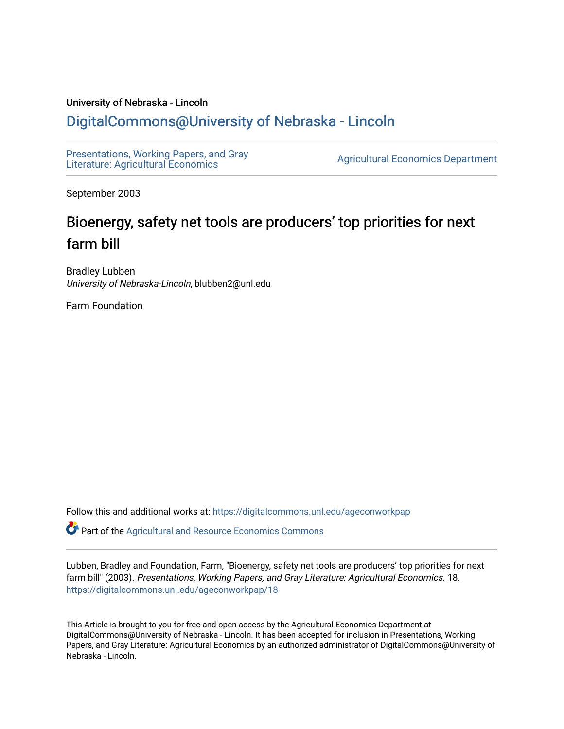#### University of Nebraska - Lincoln

## [DigitalCommons@University of Nebraska - Lincoln](https://digitalcommons.unl.edu/)

[Presentations, Working Papers, and Gray](https://digitalcommons.unl.edu/ageconworkpap)  Presentations, working Papers, and Gray<br>Literature: Agricultural Economics

September 2003

# Bioenergy, safety net tools are producers' top priorities for next farm bill

Bradley Lubben University of Nebraska-Lincoln, blubben2@unl.edu

Farm Foundation

Follow this and additional works at: [https://digitalcommons.unl.edu/ageconworkpap](https://digitalcommons.unl.edu/ageconworkpap?utm_source=digitalcommons.unl.edu%2Fageconworkpap%2F18&utm_medium=PDF&utm_campaign=PDFCoverPages) 

**P** Part of the Agricultural and Resource Economics Commons

Lubben, Bradley and Foundation, Farm, "Bioenergy, safety net tools are producers' top priorities for next farm bill" (2003). Presentations, Working Papers, and Gray Literature: Agricultural Economics. 18. [https://digitalcommons.unl.edu/ageconworkpap/18](https://digitalcommons.unl.edu/ageconworkpap/18?utm_source=digitalcommons.unl.edu%2Fageconworkpap%2F18&utm_medium=PDF&utm_campaign=PDFCoverPages)

This Article is brought to you for free and open access by the Agricultural Economics Department at DigitalCommons@University of Nebraska - Lincoln. It has been accepted for inclusion in Presentations, Working Papers, and Gray Literature: Agricultural Economics by an authorized administrator of DigitalCommons@University of Nebraska - Lincoln.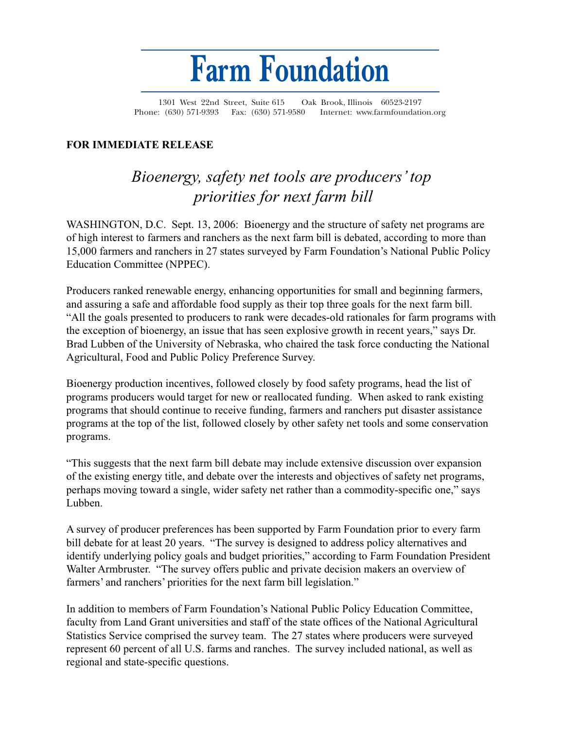

1301 West 22nd Street, Suite 615 Oak Brook, Illinois 60523-2197 Phone: (630) 571-9393 Fax: (630) 571-9580 Internet: www.farmfoundation.org

### **FOR IMMEDIATE RELEASE**

# *Bioenergy, safety net tools are producers' top priorities for next farm bill*

WASHINGTON, D.C. Sept. 13, 2006: Bioenergy and the structure of safety net programs are of high interest to farmers and ranchers as the next farm bill is debated, according to more than 15,000 farmers and ranchers in 27 states surveyed by Farm Foundation's National Public Policy Education Committee (NPPEC).

Producers ranked renewable energy, enhancing opportunities for small and beginning farmers, and assuring a safe and affordable food supply as their top three goals for the next farm bill. "All the goals presented to producers to rank were decades-old rationales for farm programs with the exception of bioenergy, an issue that has seen explosive growth in recent years," says Dr. Brad Lubben of the University of Nebraska, who chaired the task force conducting the National Agricultural, Food and Public Policy Preference Survey.

Bioenergy production incentives, followed closely by food safety programs, head the list of programs producers would target for new or reallocated funding. When asked to rank existing programs that should continue to receive funding, farmers and ranchers put disaster assistance programs at the top of the list, followed closely by other safety net tools and some conservation programs.

"This suggests that the next farm bill debate may include extensive discussion over expansion of the existing energy title, and debate over the interests and objectives of safety net programs, perhaps moving toward a single, wider safety net rather than a commodity-specific one," says Lubben.

A survey of producer preferences has been supported by Farm Foundation prior to every farm bill debate for at least 20 years. "The survey is designed to address policy alternatives and identify underlying policy goals and budget priorities," according to Farm Foundation President Walter Armbruster. "The survey offers public and private decision makers an overview of farmers' and ranchers' priorities for the next farm bill legislation."

In addition to members of Farm Foundation's National Public Policy Education Committee, faculty from Land Grant universities and staff of the state offices of the National Agricultural Statistics Service comprised the survey team. The 27 states where producers were surveyed represent 60 percent of all U.S. farms and ranches. The survey included national, as well as regional and state-specific questions.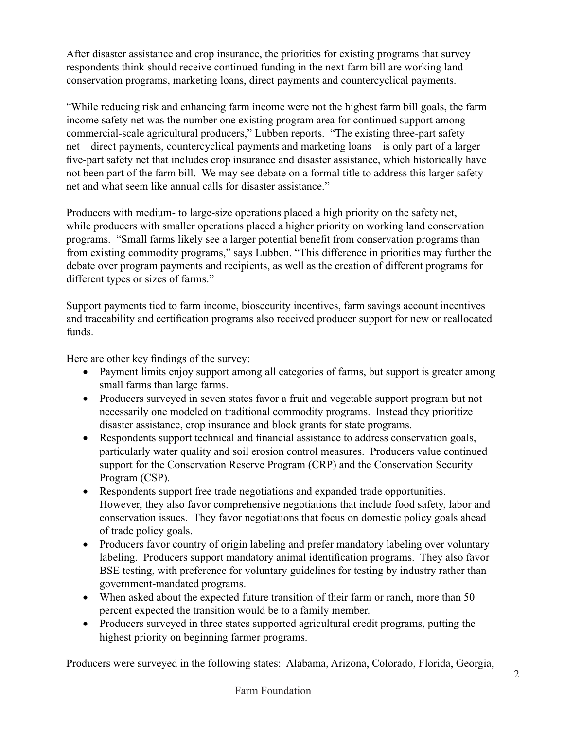After disaster assistance and crop insurance, the priorities for existing programs that survey respondents think should receive continued funding in the next farm bill are working land conservation programs, marketing loans, direct payments and countercyclical payments.

"While reducing risk and enhancing farm income were not the highest farm bill goals, the farm income safety net was the number one existing program area for continued support among commercial-scale agricultural producers," Lubben reports. "The existing three-part safety net—direct payments, countercyclical payments and marketing loans—is only part of a larger five-part safety net that includes crop insurance and disaster assistance, which historically have not been part of the farm bill. We may see debate on a formal title to address this larger safety net and what seem like annual calls for disaster assistance."

Producers with medium- to large-size operations placed a high priority on the safety net, while producers with smaller operations placed a higher priority on working land conservation programs. "Small farms likely see a larger potential benefit from conservation programs than from existing commodity programs," says Lubben. "This difference in priorities may further the debate over program payments and recipients, as well as the creation of different programs for different types or sizes of farms."

Support payments tied to farm income, biosecurity incentives, farm savings account incentives and traceability and certification programs also received producer support for new or reallocated funds.

Here are other key findings of the survey:

- Payment limits enjoy support among all categories of farms, but support is greater among small farms than large farms.
- Producers surveyed in seven states favor a fruit and vegetable support program but not necessarily one modeled on traditional commodity programs. Instead they prioritize disaster assistance, crop insurance and block grants for state programs.
- Respondents support technical and financial assistance to address conservation goals, particularly water quality and soil erosion control measures. Producers value continued support for the Conservation Reserve Program (CRP) and the Conservation Security Program (CSP).
- Respondents support free trade negotiations and expanded trade opportunities. However, they also favor comprehensive negotiations that include food safety, labor and conservation issues. They favor negotiations that focus on domestic policy goals ahead of trade policy goals.
- Producers favor country of origin labeling and prefer mandatory labeling over voluntary labeling. Producers support mandatory animal identification programs. They also favor BSE testing, with preference for voluntary guidelines for testing by industry rather than government-mandated programs.
- When asked about the expected future transition of their farm or ranch, more than 50 percent expected the transition would be to a family member.
- Producers surveyed in three states supported agricultural credit programs, putting the highest priority on beginning farmer programs.

Producers were surveyed in the following states: Alabama, Arizona, Colorado, Florida, Georgia,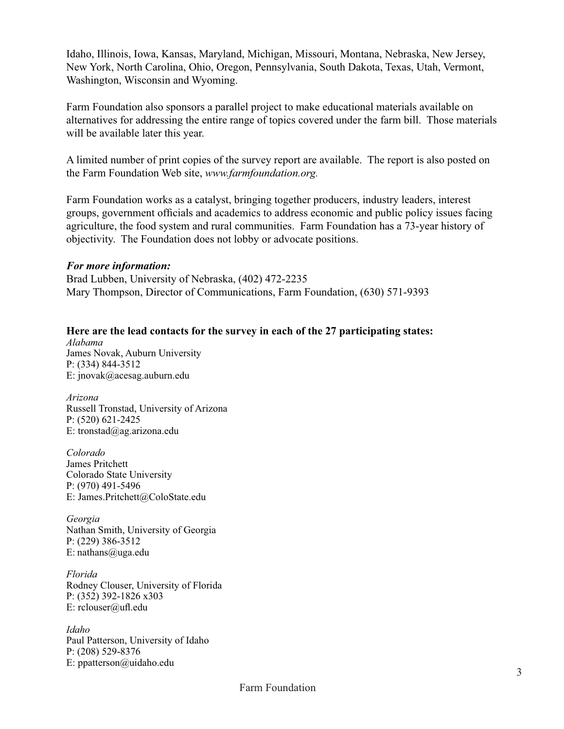Idaho, Illinois, Iowa, Kansas, Maryland, Michigan, Missouri, Montana, Nebraska, New Jersey, New York, North Carolina, Ohio, Oregon, Pennsylvania, South Dakota, Texas, Utah, Vermont, Washington, Wisconsin and Wyoming.

Farm Foundation also sponsors a parallel project to make educational materials available on alternatives for addressing the entire range of topics covered under the farm bill. Those materials will be available later this year.

A limited number of print copies of the survey report are available. The report is also posted on the Farm Foundation Web site, *www.farmfoundation.org.*

Farm Foundation works as a catalyst, bringing together producers, industry leaders, interest groups, government officials and academics to address economic and public policy issues facing agriculture, the food system and rural communities. Farm Foundation has a 73-year history of objectivity. The Foundation does not lobby or advocate positions.

#### *For more information:*

Brad Lubben, University of Nebraska, (402) 472-2235 Mary Thompson, Director of Communications, Farm Foundation, (630) 571-9393

### **Here are the lead contacts for the survey in each of the 27 participating states:**

*Alabama*  James Novak, Auburn University P: (334) 844-3512 E: jnovak@acesag.auburn.edu

*Arizona*  Russell Tronstad, University of Arizona P: (520) 621-2425 E: tronstad@ag.arizona.edu

*Colorado*  James Pritchett Colorado State University P: (970) 491-5496 E: James.Pritchett@ColoState.edu

*Georgia*  Nathan Smith, University of Georgia P: (229) 386-3512 E: nathans@uga.edu

*Florida* Rodney Clouser, University of Florida P: (352) 392-1826 x303 E: rclouser@ufl.edu

*Idaho* Paul Patterson, University of Idaho P: (208) 529-8376 E: ppatterson@uidaho.edu